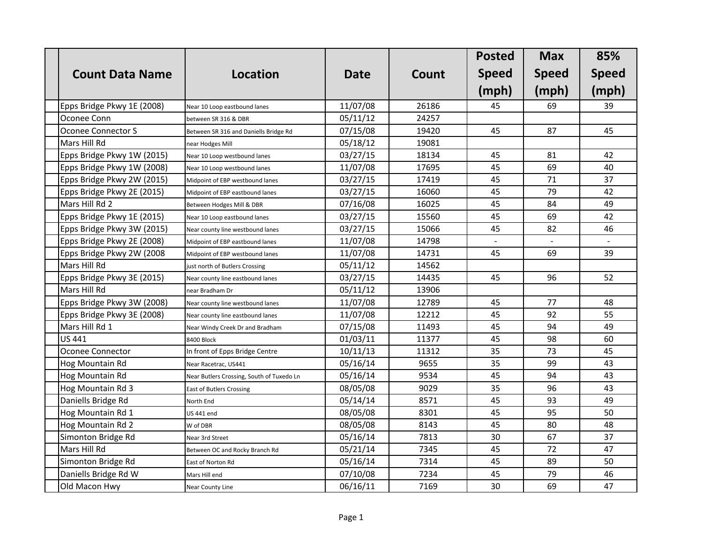|                            |                                           |             |       | <b>Posted</b>  | <b>Max</b>   | 85%          |
|----------------------------|-------------------------------------------|-------------|-------|----------------|--------------|--------------|
| <b>Count Data Name</b>     | <b>Location</b>                           | <b>Date</b> | Count | <b>Speed</b>   | <b>Speed</b> | <b>Speed</b> |
|                            |                                           |             |       | (mph)          | (mph)        | (mph)        |
| Epps Bridge Pkwy 1E (2008) | Near 10 Loop eastbound lanes              | 11/07/08    | 26186 | 45             | 69           | 39           |
| Oconee Conn                | between SR 316 & DBR                      | 05/11/12    | 24257 |                |              |              |
| Oconee Connector S         | Between SR 316 and Daniells Bridge Rd     | 07/15/08    | 19420 | 45             | 87           | 45           |
| Mars Hill Rd               | near Hodges Mill                          | 05/18/12    | 19081 |                |              |              |
| Epps Bridge Pkwy 1W (2015) | Near 10 Loop westbound lanes              | 03/27/15    | 18134 | 45             | 81           | 42           |
| Epps Bridge Pkwy 1W (2008) | Near 10 Loop westbound lanes              | 11/07/08    | 17695 | 45             | 69           | 40           |
| Epps Bridge Pkwy 2W (2015) | Midpoint of EBP westbound lanes           | 03/27/15    | 17419 | 45             | 71           | 37           |
| Epps Bridge Pkwy 2E (2015) | Midpoint of EBP eastbound lanes           | 03/27/15    | 16060 | 45             | 79           | 42           |
| Mars Hill Rd 2             | Between Hodges Mill & DBR                 | 07/16/08    | 16025 | 45             | 84           | 49           |
| Epps Bridge Pkwy 1E (2015) | Near 10 Loop eastbound lanes              | 03/27/15    | 15560 | 45             | 69           | 42           |
| Epps Bridge Pkwy 3W (2015) | Near county line westbound lanes          | 03/27/15    | 15066 | 45             | 82           | 46           |
| Epps Bridge Pkwy 2E (2008) | Midpoint of EBP eastbound lanes           | 11/07/08    | 14798 | $\overline{a}$ |              |              |
| Epps Bridge Pkwy 2W (2008  | Midpoint of EBP westbound lanes           | 11/07/08    | 14731 | 45             | 69           | 39           |
| Mars Hill Rd               | just north of Butlers Crossing            | 05/11/12    | 14562 |                |              |              |
| Epps Bridge Pkwy 3E (2015) | Near county line eastbound lanes          | 03/27/15    | 14435 | 45             | 96           | 52           |
| Mars Hill Rd               | near Bradham Dr                           | 05/11/12    | 13906 |                |              |              |
| Epps Bridge Pkwy 3W (2008) | Near county line westbound lanes          | 11/07/08    | 12789 | 45             | 77           | 48           |
| Epps Bridge Pkwy 3E (2008) | Near county line eastbound lanes          | 11/07/08    | 12212 | 45             | 92           | 55           |
| Mars Hill Rd 1             | Near Windy Creek Dr and Bradham           | 07/15/08    | 11493 | 45             | 94           | 49           |
| <b>US 441</b>              | 8400 Block                                | 01/03/11    | 11377 | 45             | 98           | 60           |
| Oconee Connector           | In front of Epps Bridge Centre            | 10/11/13    | 11312 | 35             | 73           | 45           |
| Hog Mountain Rd            | Near Racetrac, US441                      | 05/16/14    | 9655  | 35             | 99           | 43           |
| Hog Mountain Rd            | Near Butlers Crossing, South of Tuxedo Ln | 05/16/14    | 9534  | 45             | 94           | 43           |
| Hog Mountain Rd 3          | <b>East of Butlers Crossing</b>           | 08/05/08    | 9029  | 35             | 96           | 43           |
| Daniells Bridge Rd         | North End                                 | 05/14/14    | 8571  | 45             | 93           | 49           |
| Hog Mountain Rd 1          | <b>US 441 end</b>                         | 08/05/08    | 8301  | 45             | 95           | 50           |
| Hog Mountain Rd 2          | W of DBR                                  | 08/05/08    | 8143  | 45             | 80           | 48           |
| Simonton Bridge Rd         | Near 3rd Street                           | 05/16/14    | 7813  | 30             | 67           | 37           |
| Mars Hill Rd               | Between OC and Rocky Branch Rd            | 05/21/14    | 7345  | 45             | 72           | 47           |
| Simonton Bridge Rd         | East of Norton Rd                         | 05/16/14    | 7314  | 45             | 89           | 50           |
| Daniells Bridge Rd W       | Mars Hill end                             | 07/10/08    | 7234  | 45             | 79           | 46           |
| Old Macon Hwy              | Near County Line                          | 06/16/11    | 7169  | 30             | 69           | 47           |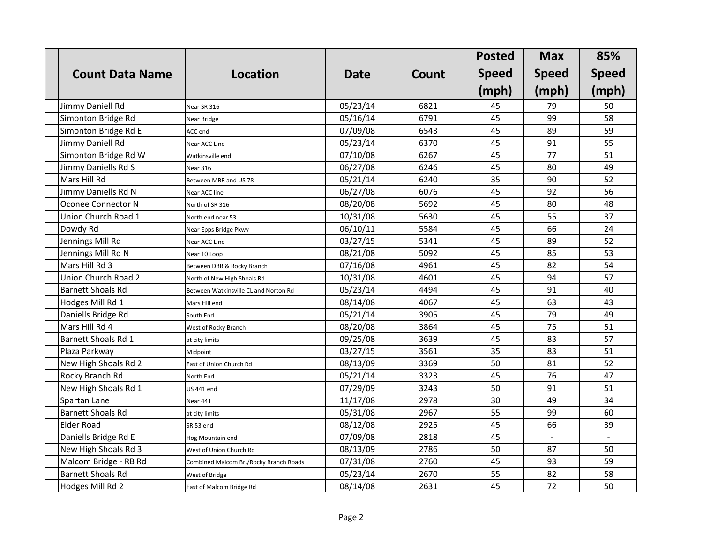|                          |                                        |             |       | <b>Posted</b> | <b>Max</b>   | 85%          |
|--------------------------|----------------------------------------|-------------|-------|---------------|--------------|--------------|
| <b>Count Data Name</b>   | <b>Location</b>                        | <b>Date</b> | Count | <b>Speed</b>  | <b>Speed</b> | <b>Speed</b> |
|                          |                                        |             |       | (mph)         | (mph)        | (mph)        |
| Jimmy Daniell Rd         | Near SR 316                            | 05/23/14    | 6821  | 45            | 79           | 50           |
| Simonton Bridge Rd       | Near Bridge                            | 05/16/14    | 6791  | 45            | 99           | 58           |
| Simonton Bridge Rd E     | ACC end                                | 07/09/08    | 6543  | 45            | 89           | 59           |
| Jimmy Daniell Rd         | Near ACC Line                          | 05/23/14    | 6370  | 45            | 91           | 55           |
| Simonton Bridge Rd W     | Watkinsville end                       | 07/10/08    | 6267  | 45            | 77           | 51           |
| Jimmy Daniells Rd S      | Near 316                               | 06/27/08    | 6246  | 45            | 80           | 49           |
| Mars Hill Rd             | Between MBR and US 78                  | 05/21/14    | 6240  | 35            | 90           | 52           |
| Jimmy Daniells Rd N      | Near ACC line                          | 06/27/08    | 6076  | 45            | 92           | 56           |
| Oconee Connector N       | North of SR 316                        | 08/20/08    | 5692  | 45            | 80           | 48           |
| Union Church Road 1      | North end near 53                      | 10/31/08    | 5630  | 45            | 55           | 37           |
| Dowdy Rd                 | Near Epps Bridge Pkwy                  | 06/10/11    | 5584  | 45            | 66           | 24           |
| Jennings Mill Rd         | Near ACC Line                          | 03/27/15    | 5341  | 45            | 89           | 52           |
| Jennings Mill Rd N       | Near 10 Loop                           | 08/21/08    | 5092  | 45            | 85           | 53           |
| Mars Hill Rd 3           | Between DBR & Rocky Branch             | 07/16/08    | 4961  | 45            | 82           | 54           |
| Union Church Road 2      | North of New High Shoals Rd            | 10/31/08    | 4601  | 45            | 94           | 57           |
| <b>Barnett Shoals Rd</b> | Between Watkinsville CL and Norton Rd  | 05/23/14    | 4494  | 45            | 91           | 40           |
| Hodges Mill Rd 1         | Mars Hill end                          | 08/14/08    | 4067  | 45            | 63           | 43           |
| Daniells Bridge Rd       | South End                              | 05/21/14    | 3905  | 45            | 79           | 49           |
| Mars Hill Rd 4           | West of Rocky Branch                   | 08/20/08    | 3864  | 45            | 75           | 51           |
| Barnett Shoals Rd 1      | at city limits                         | 09/25/08    | 3639  | 45            | 83           | 57           |
| Plaza Parkway            | Midpoint                               | 03/27/15    | 3561  | 35            | 83           | 51           |
| New High Shoals Rd 2     | East of Union Church Rd                | 08/13/09    | 3369  | 50            | 81           | 52           |
| Rocky Branch Rd          | North End                              | 05/21/14    | 3323  | 45            | 76           | 47           |
| New High Shoals Rd 1     | <b>US 441 end</b>                      | 07/29/09    | 3243  | 50            | 91           | 51           |
| Spartan Lane             | Near 441                               | 11/17/08    | 2978  | 30            | 49           | 34           |
| <b>Barnett Shoals Rd</b> | at city limits                         | 05/31/08    | 2967  | 55            | 99           | 60           |
| Elder Road               | SR 53 end                              | 08/12/08    | 2925  | 45            | 66           | 39           |
| Daniells Bridge Rd E     | Hog Mountain end                       | 07/09/08    | 2818  | 45            |              |              |
| New High Shoals Rd 3     | West of Union Church Rd                | 08/13/09    | 2786  | 50            | 87           | 50           |
| Malcom Bridge - RB Rd    | Combined Malcom Br./Rocky Branch Roads | 07/31/08    | 2760  | 45            | 93           | 59           |
| <b>Barnett Shoals Rd</b> | West of Bridge                         | 05/23/14    | 2670  | 55            | 82           | 58           |
| Hodges Mill Rd 2         | East of Malcom Bridge Rd               | 08/14/08    | 2631  | 45            | 72           | 50           |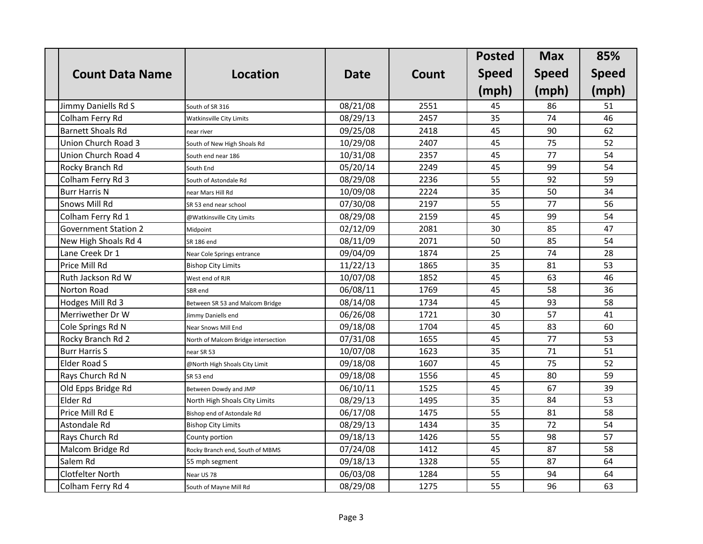|                             |                                     |             |       | <b>Posted</b> | <b>Max</b>   | 85%          |
|-----------------------------|-------------------------------------|-------------|-------|---------------|--------------|--------------|
| <b>Count Data Name</b>      | <b>Location</b>                     | <b>Date</b> | Count | <b>Speed</b>  | <b>Speed</b> | <b>Speed</b> |
|                             |                                     |             |       | (mph)         | (mph)        | (mph)        |
| Jimmy Daniells Rd S         | South of SR 316                     | 08/21/08    | 2551  | 45            | 86           | 51           |
| Colham Ferry Rd             | <b>Watkinsville City Limits</b>     | 08/29/13    | 2457  | 35            | 74           | 46           |
| <b>Barnett Shoals Rd</b>    | near river                          | 09/25/08    | 2418  | 45            | 90           | 62           |
| Union Church Road 3         | South of New High Shoals Rd         | 10/29/08    | 2407  | 45            | 75           | 52           |
| Union Church Road 4         | South end near 186                  | 10/31/08    | 2357  | 45            | 77           | 54           |
| Rocky Branch Rd             | South End                           | 05/20/14    | 2249  | 45            | 99           | 54           |
| Colham Ferry Rd 3           | South of Astondale Rd               | 08/29/08    | 2236  | 55            | 92           | 59           |
| <b>Burr Harris N</b>        | near Mars Hill Rd                   | 10/09/08    | 2224  | 35            | 50           | 34           |
| <b>Snows Mill Rd</b>        | SR 53 end near school               | 07/30/08    | 2197  | 55            | 77           | 56           |
| Colham Ferry Rd 1           | @Watkinsville City Limits           | 08/29/08    | 2159  | 45            | 99           | 54           |
| <b>Government Station 2</b> | Midpoint                            | 02/12/09    | 2081  | 30            | 85           | 47           |
| New High Shoals Rd 4        | SR 186 end                          | 08/11/09    | 2071  | 50            | 85           | 54           |
| Lane Creek Dr 1             | Near Cole Springs entrance          | 09/04/09    | 1874  | 25            | 74           | 28           |
| Price Mill Rd               | <b>Bishop City Limits</b>           | 11/22/13    | 1865  | 35            | 81           | 53           |
| Ruth Jackson Rd W           | West end of RJR                     | 10/07/08    | 1852  | 45            | 63           | 46           |
| Norton Road                 | SBR end                             | 06/08/11    | 1769  | 45            | 58           | 36           |
| Hodges Mill Rd 3            | Between SR 53 and Malcom Bridge     | 08/14/08    | 1734  | 45            | 93           | 58           |
| Merriwether Dr W            | Jimmy Daniells end                  | 06/26/08    | 1721  | 30            | 57           | 41           |
| Cole Springs Rd N           | Near Snows Mill End                 | 09/18/08    | 1704  | 45            | 83           | 60           |
| Rocky Branch Rd 2           | North of Malcom Bridge intersection | 07/31/08    | 1655  | 45            | 77           | 53           |
| <b>Burr Harris S</b>        | near SR 53                          | 10/07/08    | 1623  | 35            | 71           | 51           |
| <b>Elder Road S</b>         | @North High Shoals City Limit       | 09/18/08    | 1607  | 45            | 75           | 52           |
| Rays Church Rd N            | SR 53 end                           | 09/18/08    | 1556  | 45            | 80           | 59           |
| Old Epps Bridge Rd          | Between Dowdy and JMP               | 06/10/11    | 1525  | 45            | 67           | 39           |
| Elder Rd                    | North High Shoals City Limits       | 08/29/13    | 1495  | 35            | 84           | 53           |
| Price Mill Rd E             | Bishop end of Astondale Rd          | 06/17/08    | 1475  | 55            | 81           | 58           |
| Astondale Rd                | <b>Bishop City Limits</b>           | 08/29/13    | 1434  | 35            | 72           | 54           |
| Rays Church Rd              | County portion                      | 09/18/13    | 1426  | 55            | 98           | 57           |
| Malcom Bridge Rd            | Rocky Branch end, South of MBMS     | 07/24/08    | 1412  | 45            | 87           | 58           |
| Salem Rd                    | 55 mph segment                      | 09/18/13    | 1328  | 55            | 87           | 64           |
| <b>Clotfelter North</b>     | Near US 78                          | 06/03/08    | 1284  | 55            | 94           | 64           |
| Colham Ferry Rd 4           | South of Mayne Mill Rd              | 08/29/08    | 1275  | 55            | 96           | 63           |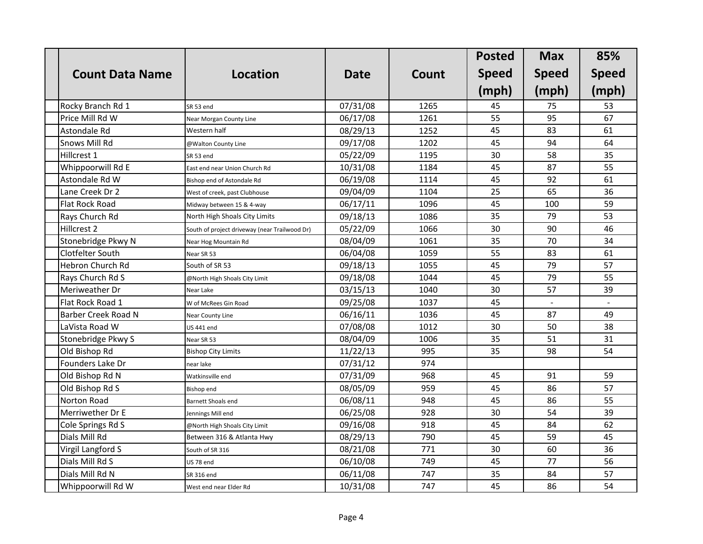|                            |                                               |             |       | <b>Posted</b> | <b>Max</b>   | 85%          |
|----------------------------|-----------------------------------------------|-------------|-------|---------------|--------------|--------------|
| <b>Count Data Name</b>     | <b>Location</b>                               | <b>Date</b> | Count | <b>Speed</b>  | <b>Speed</b> | <b>Speed</b> |
|                            |                                               |             |       | (mph)         | (mph)        | (mph)        |
| Rocky Branch Rd 1          | SR 53 end                                     | 07/31/08    | 1265  | 45            | 75           | 53           |
| Price Mill Rd W            | Near Morgan County Line                       | 06/17/08    | 1261  | 55            | 95           | 67           |
| Astondale Rd               | Western half                                  | 08/29/13    | 1252  | 45            | 83           | 61           |
| Snows Mill Rd              | @Walton County Line                           | 09/17/08    | 1202  | 45            | 94           | 64           |
| Hillcrest 1                | SR 53 end                                     | 05/22/09    | 1195  | 30            | 58           | 35           |
| Whippoorwill Rd E          | East end near Union Church Rd                 | 10/31/08    | 1184  | 45            | 87           | 55           |
| Astondale Rd W             | Bishop end of Astondale Rd                    | 06/19/08    | 1114  | 45            | 92           | 61           |
| Lane Creek Dr 2            | West of creek, past Clubhouse                 | 09/04/09    | 1104  | 25            | 65           | 36           |
| Flat Rock Road             | Midway between 15 & 4-way                     | 06/17/11    | 1096  | 45            | 100          | 59           |
| Rays Church Rd             | North High Shoals City Limits                 | 09/18/13    | 1086  | 35            | 79           | 53           |
| Hillcrest 2                | South of project driveway (near Trailwood Dr) | 05/22/09    | 1066  | 30            | 90           | 46           |
| Stonebridge Pkwy N         | Near Hog Mountain Rd                          | 08/04/09    | 1061  | 35            | 70           | 34           |
| Clotfelter South           | Near SR 53                                    | 06/04/08    | 1059  | 55            | 83           | 61           |
| <b>Hebron Church Rd</b>    | South of SR 53                                | 09/18/13    | 1055  | 45            | 79           | 57           |
| Rays Church Rd S           | @North High Shoals City Limit                 | 09/18/08    | 1044  | 45            | 79           | 55           |
| Meriweather Dr             | Near Lake                                     | 03/15/13    | 1040  | 30            | 57           | 39           |
| Flat Rock Road 1           | W of McRees Gin Road                          | 09/25/08    | 1037  | 45            |              |              |
| <b>Barber Creek Road N</b> | Near County Line                              | 06/16/11    | 1036  | 45            | 87           | 49           |
| LaVista Road W             | <b>US 441 end</b>                             | 07/08/08    | 1012  | 30            | 50           | 38           |
| Stonebridge Pkwy S         | Near SR 53                                    | 08/04/09    | 1006  | 35            | 51           | 31           |
| Old Bishop Rd              | <b>Bishop City Limits</b>                     | 11/22/13    | 995   | 35            | 98           | 54           |
| Founders Lake Dr           | near lake                                     | 07/31/12    | 974   |               |              |              |
| Old Bishop Rd N            | Watkinsville end                              | 07/31/09    | 968   | 45            | 91           | 59           |
| Old Bishop Rd S            | Bishop end                                    | 08/05/09    | 959   | 45            | 86           | 57           |
| Norton Road                | Barnett Shoals end                            | 06/08/11    | 948   | 45            | 86           | 55           |
| Merriwether Dr E           | Jennings Mill end                             | 06/25/08    | 928   | 30            | 54           | 39           |
| Cole Springs Rd S          | @North High Shoals City Limit                 | 09/16/08    | 918   | 45            | 84           | 62           |
| Dials Mill Rd              | Between 316 & Atlanta Hwy                     | 08/29/13    | 790   | 45            | 59           | 45           |
| Virgil Langford S          | South of SR 316                               | 08/21/08    | 771   | 30            | 60           | 36           |
| Dials Mill Rd S            | US 78 end                                     | 06/10/08    | 749   | 45            | 77           | 56           |
| Dials Mill Rd N            | SR 316 end                                    | 06/11/08    | 747   | 35            | 84           | 57           |
| Whippoorwill Rd W          | West end near Elder Rd                        | 10/31/08    | 747   | 45            | 86           | 54           |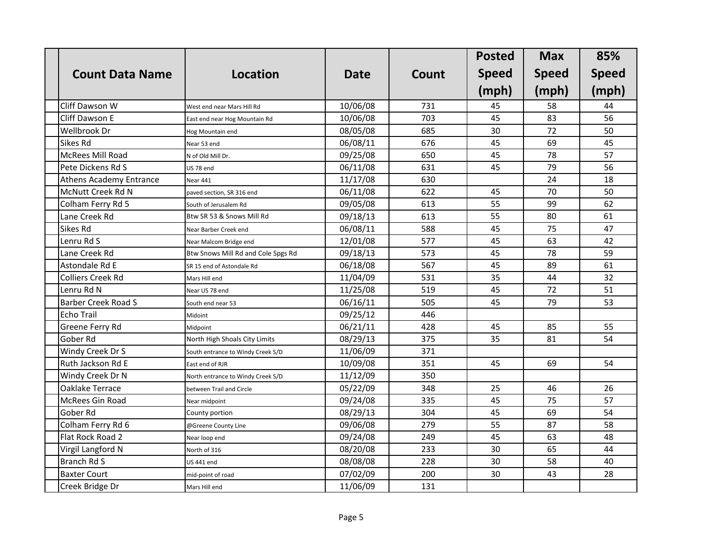|                                |                                    |             |       | <b>Posted</b> | <b>Max</b>   | 85%          |
|--------------------------------|------------------------------------|-------------|-------|---------------|--------------|--------------|
| <b>Count Data Name</b>         | <b>Location</b>                    | <b>Date</b> | Count | <b>Speed</b>  | <b>Speed</b> | <b>Speed</b> |
|                                |                                    |             |       | (mph)         | (mph)        | (mph)        |
| Cliff Dawson W                 | West end near Mars Hill Rd         | 10/06/08    | 731   | 45            | 58           | 44           |
| Cliff Dawson E                 | East end near Hog Mountain Rd      | 10/06/08    | 703   | 45            | 83           | 56           |
| <b>Wellbrook Dr</b>            | Hog Mountain end                   | 08/05/08    | 685   | 30            | 72           | 50           |
| Sikes Rd                       | Near 53 end                        | 06/08/11    | 676   | 45            | 69           | 45           |
| <b>McRees Mill Road</b>        | N of Old Mill Dr.                  | 09/25/08    | 650   | 45            | 78           | 57           |
| Pete Dickens Rd S              | US 78 end                          | 06/11/08    | 631   | 45            | 79           | 56           |
| <b>Athens Academy Entrance</b> | <b>Near 441</b>                    | 11/17/08    | 630   |               | 24           | 18           |
| McNutt Creek Rd N              | paved section, SR 316 end          | 06/11/08    | 622   | 45            | 70           | 50           |
| Colham Ferry Rd 5              | South of Jerusalem Rd              | 09/05/08    | 613   | 55            | 99           | 62           |
| Lane Creek Rd                  | Btw SR 53 & Snows Mill Rd          | 09/18/13    | 613   | 55            | 80           | 61           |
| Sikes Rd                       | Near Barber Creek end              | 06/08/11    | 588   | 45            | 75           | 47           |
| Lenru Rd S                     | Near Malcom Bridge end             | 12/01/08    | 577   | 45            | 63           | 42           |
| Lane Creek Rd                  | Btw Snows Mill Rd and Cole Spgs Rd | 09/18/13    | 573   | 45            | 78           | 59           |
| Astondale Rd E                 | SR 15 end of Astondale Rd          | 06/18/08    | 567   | 45            | 89           | 61           |
| <b>Colliers Creek Rd</b>       | Mars Hill end                      | 11/04/09    | 531   | 35            | 44           | 32           |
| Lenru Rd N                     | Near US 78 end                     | 11/25/08    | 519   | 45            | 72           | 51           |
| <b>Barber Creek Road S</b>     | South end near 53                  | 06/16/11    | 505   | 45            | 79           | 53           |
| <b>Echo Trail</b>              | Midoint                            | 09/25/12    | 446   |               |              |              |
| Greene Ferry Rd                | Midpoint                           | 06/21/11    | 428   | 45            | 85           | 55           |
| Gober Rd                       | North High Shoals City Limits      | 08/29/13    | 375   | 35            | 81           | 54           |
| Windy Creek Dr S               | South entrance to Windy Creek S/D  | 11/06/09    | 371   |               |              |              |
| Ruth Jackson Rd E              | East end of RJR                    | 10/09/08    | 351   | 45            | 69           | 54           |
| Windy Creek Dr N               | North entrance to Windy Creek S/D  | 11/12/09    | 350   |               |              |              |
| Oaklake Terrace                | between Trail and Circle           | 05/22/09    | 348   | 25            | 46           | 26           |
| McRees Gin Road                | Near midpoint                      | 09/24/08    | 335   | 45            | 75           | 57           |
| Gober Rd                       | County portion                     | 08/29/13    | 304   | 45            | 69           | 54           |
| Colham Ferry Rd 6              | @Greene County Line                | 09/06/08    | 279   | 55            | 87           | 58           |
| Flat Rock Road 2               | Near loop end                      | 09/24/08    | 249   | 45            | 63           | 48           |
| Virgil Langford N              | North of 316                       | 08/20/08    | 233   | 30            | 65           | 44           |
| Branch Rd S                    | <b>US 441 end</b>                  | 08/08/08    | 228   | 30            | 58           | 40           |
| <b>Baxter Court</b>            | mid-point of road                  | 07/02/09    | 200   | 30            | 43           | 28           |
| Creek Bridge Dr                | Mars Hill end                      | 11/06/09    | 131   |               |              |              |